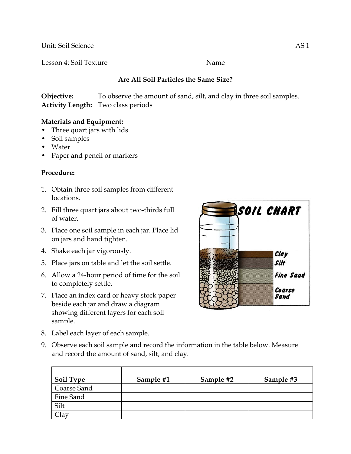Unit: Soil Science AS 1

Lesson 4: Soil Texture Name Name

## **Are All Soil Particles the Same Size?**

**Objective:** To observe the amount of sand, silt, and clay in three soil samples. **Activity Length:** Two class periods

## **Materials and Equipment:**

- Three quart jars with lids
- Soil samples
- Water
- Paper and pencil or markers

## **Procedure:**

- 1. Obtain three soil samples from different locations.
- 2. Fill three quart jars about two-thirds full of water.
- 3. Place one soil sample in each jar. Place lid on jars and hand tighten.
- 4. Shake each jar vigorously.
- 5. Place jars on table and let the soil settle.
- 6. Allow a 24-hour period of time for the soil to completely settle.
- 7. Place an index card or heavy stock paper beside each jar and draw a diagram showing different layers for each soil sample.
- 8. Label each layer of each sample.



9. Observe each soil sample and record the information in the table below. Measure and record the amount of sand, silt, and clay.

| Soil Type   | Sample #1 | Sample #2 | Sample #3 |
|-------------|-----------|-----------|-----------|
| Coarse Sand |           |           |           |
| Fine Sand   |           |           |           |
| Silt        |           |           |           |
|             |           |           |           |